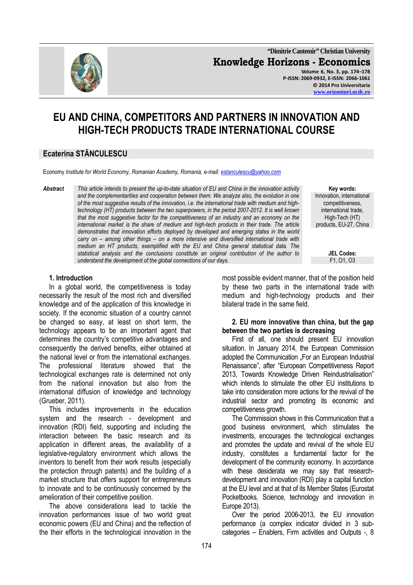

**"Dimitrie Cantemir" Christian University Knowledge Horizons - Economics Volume 6, No. 3, pp. 174–178 P-ISSN: 2069-0932, E-ISSN: 2066-1061 © 2014 Pro Universitaria www.orizonturi.ucdc.ro**

# **EU AND CHINA, COMPETITORS AND PARTNERS IN INNOVATION AND HIGH-TECH PRODUCTS TRADE INTERNATIONAL COURSE**

# **Ecaterina STĂNCULESCU**

Economy *Institute for World Economy, Romanian Academy, Romania, e-mail: estanculescu@yahoo.com*

*Abstract This article intends to present the up-to-date situation of EU and China in the innovation activity and the complementarities and cooperation between them. We analyze also, the evolution in one of the most suggestive results of the innovation, i.e. the international trade with medium and hightechnology (HT) products between the two superpowers, in the period 2007-2012. It is well known that the most suggestive factor for the competitiveness of an industry and an economy on the international market is the share of medium and high-tech products in their trade. The article demonstrates that innovation efforts deployed by developed and emerging states in the world carry on – among other things – on a more intensive and diversified international trade with medium an HT products, exemplified with the EU and China general statistical data. The statistical analysis and the conclusions constitute an original contribution of the author to understand the development of the global connections of our days.* 

#### **1. Introduction**

In a global world, the competitiveness is today necessarily the result of the most rich and diversified knowledge and of the application of this knowledge in society. If the economic situation of a country cannot be changed so easy, at least on short term, the technology appears to be an important agent that determines the country's competitive advantages and consequently the derived benefits, either obtained at the national level or from the international exchanges. The professional literature showed that the technological exchanges rate is determined not only from the national innovation but also from the international diffusion of knowledge and technology (Grueber, 2011).

This includes improvements in the education system and the research - development and innovation (RDI) field, supporting and including the interaction between the basic research and its application in different areas, the availability of a legislative-regulatory environment which allows the inventors to benefit from their work results (especially the protection through patents) and the building of a market structure that offers support for entrepreneurs to innovate and to be continuously concerned by the amelioration of their competitive position.

The above considerations lead to tackle the innovation performances issue of two world great economic powers (EU and China) and the reflection of the their efforts in the technological innovation in the

**Key words:**  Innovation, international competitiveness, international trade, High-Tech (HT) products, EU-27, China

**JEL Codes:**

most possible evident manner, that of the position held by these two parts in the international trade with medium and high-technology products and their bilateral trade in the same field.

#### **2. EU more innovative than china, but the gap between the two parties is decreasing**

First of all, one should present EU innovation situation. In January 2014, the European Commission adopted the Communication ..For an European Industrial Renaissance", after "European Competitiveness Report 2013, Towards Knowledge Driven Reindustrialisation" which intends to stimulate the other EU institutions to take into consideration more actions for the revival of the industrial sector and promoting its economic and competitiveness growth.

The Commission shows in this Communication that a good business environment, which stimulates the investments, encourages the technological exchanges and promotes the update and revival of the whole EU industry, constitutes a fundamental factor for the development of the community economy. In accordance with these desiderata we may say that researchdevelopment and innovation (RDI) play a capital function at the EU level and at that of its Member States (Eurostat Pocketbooks, Science, technology and innovation in Europe 2013).

Over the period 2006-2013, the EU innovation performance (a complex indicator divided in 3 subcategories – Enablers, Firm activities and Outputs -, 8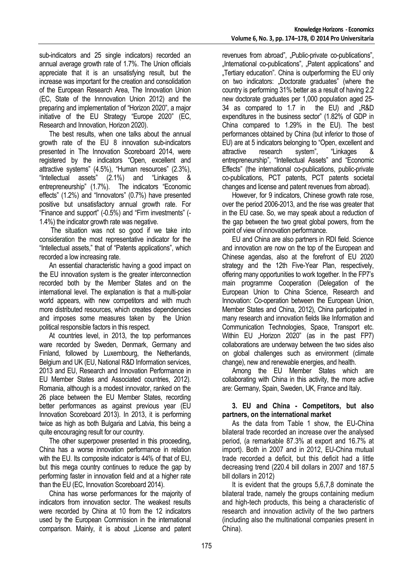sub-indicators and 25 single indicators) recorded an annual average growth rate of 1.7%. The Union officials appreciate that it is an unsatisfying result, but the increase was important for the creation and consolidation of the European Research Area, The Innovation Union (EC, State of the Innnovation Union 2012) and the preparing and implementation of "Horizon 2020", a major initiative of the EU Strategy "Europe 2020" (EC, Research and Innovation, Horizon 2020).

The best results, when one talks about the annual growth rate of the EU 8 innovation sub-indicators presented in The Innovation Scoreboard 2014, were registered by the indicators "Open, excellent and attractive systems" (4.5%), "Human resources" (2.3%), "Intellectual assets" (2.1%) and "Linkages & entrepreneurship" (1.7%). The indicators "Economic effects" (1.2%) and "Innovators" (0.7%) have presented positive but unsatisfactory annual growth rate. For "Finance and support" (-0.5%) and "Firm investments" (- 1.4%) the indicator growth rate was negative.

 The situation was not so good if we take into consideration the most representative indicator for the "Intellectual assets," that of "Patents applications", which recorded a low increasing rate.

An essential characteristic having a good impact on the EU innovation system is the greater interconnection recorded both by the Member States and on the international level. The explanation is that a multi-polar world appears, with new competitors and with much more distributed resources, which creates dependencies and imposes some measures taken by the Union political responsible factors in this respect.

At countries level, in 2013, the top performances ware recorded by Sweden, Denmark, Germany and Finland, followed by Luxembourg, the Netherlands, Belgium and UK (EU, National R&D Information services, 2013 and EU, Research and Innovation Performance in EU Member States and Associated countries, 2012). Romania, although is a modest innovator, ranked on the 26 place between the EU Member States, recording better performances as against previous year (EU Innovation Scoreboard 2013). In 2013, it is performing twice as high as both Bulgaria and Latvia, this being a quite encouraging result for our country.

The other superpower presented in this proceeding**,**  China has a worse innovation performance in relation with the EU. Its composite indicator is 44% of that of EU. but this mega country continues to reduce the gap by performing faster in innovation field and at a higher rate than the EU (EC, Innovation Scoreboard 2014).

China has worse performances for the majority of indicators from innovation sector. The weakest results were recorded by China at 10 from the 12 indicators used by the European Commission in the international comparison. Mainly, it is about "License and patent revenues from abroad", "Public-private co-publications", "International co-publications", "Patent applications" and .Tertiary education". China is outperforming the EU only on two indicators: "Doctorate graduates" (where the country is performing 31% better as a result of having 2.2 new doctorate graduates per 1,000 population aged 25- 34 as compared to 1.7 in the EU) and "R&D expenditures in the business sector" (1.82% of GDP in China compared to 1.29% in the EU). The best performances obtained by China (but inferior to those of EU) are at 5 indicators belonging to "Open, excellent and attractive research system", "Linkages & entrepreneurship", "Intellectual Assets" and "Economic Effects" (the international co-publications, public-private co-publications, PCT patents, PCT patents societal changes and license and patent revenues from abroad).

However, for 9 indicators, Chinese growth rate rose, over the period 2006-2013, and the rise was greater that in the EU case. So, we may speak about a reduction of the gap between the two great global powers, from the point of view of innovation performance.

EU and China are also partners in RDI field. Science and innovation are now on the top of the European and Chinese agendas, also at the forefront of EU 2020 strategy and the 12th Five-Year Plan, respectively, offering many opportunities to work together. In the FP7's main programme Cooperation (Delegation of the European Union to China Science, Research and Innovation: Co-operation between the European Union, Member States and China, 2012), China participated in many research and innovation fields like Information and Communication Technologies, Space, Transport etc. Within EU "Horizon 2020" (as in the past FP7) collaborations are underway between the two sides also on global challenges such as environment (climate change), new and renewable energies, and health.

Among the EU Member States which are collaborating with China in this activity, the more active are: Germany, Spain, Sweden, UK, France and Italy.

#### **3. EU and China - Competitors, but also partners, on the international market**

As the data from Table 1 show, the EU-China bilateral trade recorded an increase over the analysed period, (a remarkable 87.3% at export and 16.7% at import). Both in 2007 and in 2012, EU-China mutual trade recorded a deficit, but this deficit had a little decreasing trend (220.4 bill dollars in 2007 and 187.5 bill dollars in 2012)

It is evident that the groups 5,6,7,8 dominate the bilateral trade, namely the groups containing medium and high-tech products, this being a characteristic of research and innovation activity of the two partners (including also the multinational companies present in China).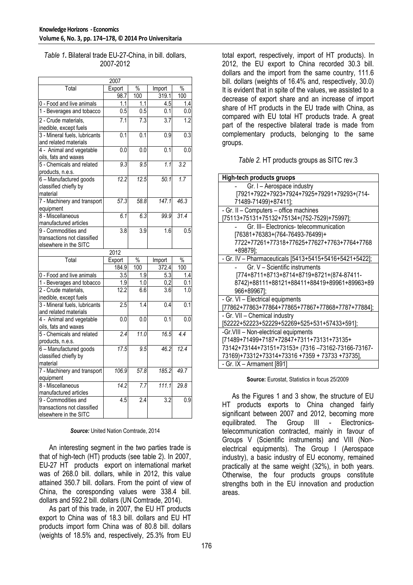#### *Table 1***.** Bilateral trade EU-27-China, in bill. dollars, 2007-2012

|                                                                                  | 2007             |                   |                  |                  |
|----------------------------------------------------------------------------------|------------------|-------------------|------------------|------------------|
| Total                                                                            | Export           | $\frac{0}{0}$     | Import           | $\frac{0}{0}$    |
|                                                                                  | 98.7             | 100               | 319.1            | 100              |
| 0 - Food and live animals                                                        | 1.1              | 1.1               | 4.5              | 1.4              |
| 1 - Beverages and tobacco                                                        | $\overline{0.5}$ | $\overline{0.5}$  | 0.1              | 0.0              |
| 2 - Crude materials,<br>inedible, except fuels                                   | 7.1              | 7.3               | 3.7              | 1.2              |
| 3 - Mineral fuels, lubricants<br>and related materials                           | $\overline{0.1}$ | $\overline{0.1}$  | 0.9              | 0.3              |
| 4 - Animal and vegetable<br>oils, fats and waxes                                 | 0.0              | 0.0               | 0.1              | 0.0              |
| 5 - Chemicals and related<br>products, n.e.s.                                    | 9.3              | 9.5               | 1.1              | $\overline{3.2}$ |
| 6 - Manufactured goods<br>classified chiefly by<br>material                      | 12.2             | 12.5              | 50.1             | 1.7              |
| 7 - Machinery and transport<br>equipment                                         | 57.3             | 58.8              | 147.1            | 46.3             |
| 8 - Miscellaneous<br>manufactured articles                                       | 6.1              | 6.3               | 99.9             | 31.4             |
| 9 - Commodities and<br>transactions not classified<br>elsewhere in the SITC      | 3.8              | 3.9               | 1.6              | $\overline{0.5}$ |
|                                                                                  |                  |                   |                  |                  |
|                                                                                  | 2012             |                   |                  |                  |
| Total                                                                            | Export           | $\frac{0}{6}$     | Import           | $\frac{1}{2}$    |
|                                                                                  | 184.9            | 100               | 372.4            | 100              |
| 0 - Food and live animals                                                        | 3.5              | 1.9               | 5.3              | 1.4              |
| 1 - Beverages and tobacco                                                        | 1.9              | 1.0               | 0.2              | 0.1              |
| 2 - Crude materials,                                                             | 12.2             | 6.6               | $\overline{3.6}$ | 1.0              |
| inedible, except fuels<br>3 - Mineral fuels, lubricants<br>and related materials | 2.5              | $\overline{1.4}$  | 0.4              | $\overline{0.1}$ |
| 4 - Animal and vegetable<br>oils, fats and waxes                                 | 0.0              | 0.0               | 0.1              | 0.0              |
| 5 - Chemicals and related<br>products, n.e.s.                                    | 2.4              | 11.0              | 16.5             | 4.4              |
| 6 - Manufactured goods<br>classified chiefly by<br>material                      | 17.5             | 9.5               | 46.2             | 12.4             |
| 7 - Machinery and transport<br>equipment                                         | 106.9            | $\overline{57.8}$ | 185.2            | 49.7             |
| 8 - Miscellaneous<br>manufactured articles                                       | 14.2             | 7.7               | 111.1            | 29.8             |

#### *Source:* United Nation Comtrade, 2014

An interesting segment in the two parties trade is that of high-tech (HT) products (see table 2). In 2007, EU-27 HT products export on international market was of 268.0 bill. dollars, while in 2012, this value attained 350.7 bill. dollars. From the point of view of China, the coresponding values were 338.4 bill. dollars and 592.2 bill. dollars (UN Comtrade, 2014).

As part of this trade, in 2007, the EU HT products export to China was of 18.3 bill. dollars and EU HT products import form China was of 80.8 bill. dollars (weights of 18.5% and, respectively, 25.3% from EU total export, respectively, import of HT products). In 2012, the EU export to China recorded 30.3 bill. dollars and the import from the same country, 111.6 bill. dollars (weights of 16.4% and, respectively, 30.0) It is evident that in spite of the values, we assisted to a decrease of export share and an increase of import share of HT products in the EU trade with China, as compared with EU total HT products trade. A great part of the respective bilateral trade is made from complementary products, belonging to the same groups.

#### *Table 2.* HT products groups as SITC rev.3

| <b>High-tech products gruops</b>                       |
|--------------------------------------------------------|
| Gr. I - Aerospace industry                             |
| [7921+7922+7923+7924+7925+79291+79293+(714-            |
| 71489-71499)+87411];                                   |
| - Gr. II - Computers - office machines                 |
| [75113+75131+75132+75134+(752-7529)+75997];            |
| Gr. III- Electronics- telecommunication                |
| [76381+76383+(764-76493-76499)+                        |
| 7722+77261+77318+77625+77627+7763+7764+7768            |
| +89879];                                               |
| - Gr. IV - Pharmaceuticals [5413+5415+5416+5421+5422]; |
| Gr. V - Scientific instruments                         |
| [774+8711+8713+8714+8719+8721+(874-87411-              |
| 8742)+88111+88121+88411+88419+89961+89963+89           |
| 966+89967];                                            |
| - Gr. VI - Electrical equipments                       |
| [77862+77863+77864+77865+77867+77868+7787+77884];      |
| - Gr. VII - Chemical industry                          |
| [52222+52223+52229+52269+525+531+57433+591];           |
| -Gr. VIII - Non-electrical equipments                  |
| [71489+71499+7187+72847+7311+73131+73135+              |
| 73142+73144+73151+73153+ (7316-73162-73166-73167-      |
| 73169)+73312+73314+73316 +7359 + 73733 +73735],        |
| - Gr. IX - Armament [891]                              |

**Source:** Eurostat, Statistics in focus 25/2009

As the Figures 1 and 3 show, the structure of EU HT products exports to China changed fairly significant between 2007 and 2012, becoming more equilibrated. The Group III - Electronicstelecommunication contracted, mainly in favour of Groups V (Scientific instruments) and VIII (Nonelectrical equipments). The Group I (Aerospace industry), a basic industry of EU economy, remained practically at the same weight (32%), in both years. Otherwise, the four products groups constitute strengths both in the EU innovation and production areas.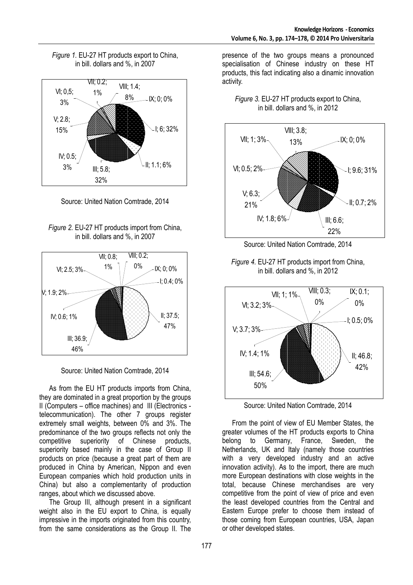



Source: United Nation Comtrade, 2014





Source: United Nation Comtrade, 2014

As from the EU HT products imports from China, they are dominated in a great proportion by the groups II (Computers – office machines) and III (Electronics telecommunication). The other 7 groups register extremely small weights, between 0% and 3%. The predominance of the two groups reflects not only the competitive superiority of Chinese products. competitive superiority of Chinese superiority based mainly in the case of Group II products on price (because a great part of them are produced in China by American, Nippon and even European companies which hold production units in China) but also a complementarity of production ranges, about which we discussed above.

The Group III, although present in a significant weight also in the EU export to China, is equally impressive in the imports originated from this country, from the same considerations as the Group II. The

presence of the two groups means a pronounced specialisation of Chinese industry on these HT products, this fact indicating also a dinamic innovation activity.





Source: United Nation Comtrade, 2014





Source: United Nation Comtrade, 2014

From the point of view of EU Member States, the greater volumes of the HT products exports to China belong to Germany, France, Sweden, the Netherlands, UK and Italy (namely those countries with a very developed industry and an active innovation activity). As to the import, there are much more European destinations with close weights in the total, because Chinese merchandises are very competitive from the point of view of price and even the least developed countries from the Central and Eastern Europe prefer to choose them instead of those coming from European countries, USA, Japan or other developed states.